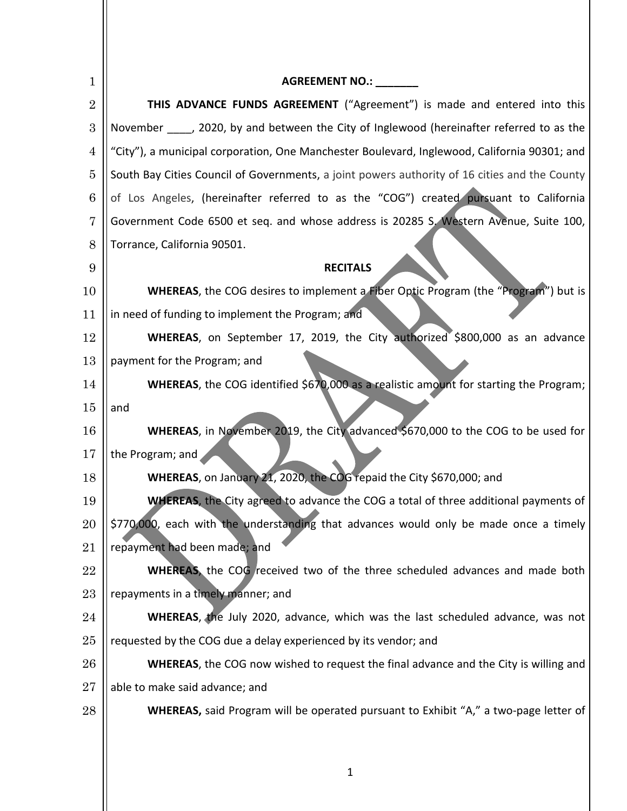| 1              | AGREEMENT NO.: _______                                                                        |  |  |
|----------------|-----------------------------------------------------------------------------------------------|--|--|
| $\overline{2}$ | THIS ADVANCE FUNDS AGREEMENT ("Agreement") is made and entered into this                      |  |  |
| 3              | November _____, 2020, by and between the City of Inglewood (hereinafter referred to as the    |  |  |
| 4              | "City"), a municipal corporation, One Manchester Boulevard, Inglewood, California 90301; and  |  |  |
| $\overline{5}$ | South Bay Cities Council of Governments, a joint powers authority of 16 cities and the County |  |  |
| 6              | of Los Angeles, (hereinafter referred to as the "COG") created pursuant to California         |  |  |
| 7              | Government Code 6500 et seq. and whose address is 20285 S. Western Avenue, Suite 100,         |  |  |
| 8              | Torrance, California 90501.                                                                   |  |  |
| 9              | <b>RECITALS</b>                                                                               |  |  |
| 10             | WHEREAS, the COG desires to implement a Fiber Optic Program (the "Program") but is            |  |  |
| 11             | in need of funding to implement the Program; and                                              |  |  |
| 12             | WHEREAS, on September 17, 2019, the City authorized \$800,000 as an advance                   |  |  |
| 13             | payment for the Program; and                                                                  |  |  |
| 14             | WHEREAS, the COG identified \$670,000 as a realistic amount for starting the Program;         |  |  |
| 15             | and                                                                                           |  |  |
| 16             | WHEREAS, in November 2019, the City advanced \$670,000 to the COG to be used for              |  |  |
| 17             | the Program; and                                                                              |  |  |
| 18             | WHEREAS, on January 21, 2020, the COG repaid the City \$670,000; and                          |  |  |
| 19             | <b>WHEREAS</b> , the City agreed to advance the COG a total of three additional payments of   |  |  |
| 20             | \$770,000, each with the understanding that advances would only be made once a timely         |  |  |
| 21             | repayment had been made; and                                                                  |  |  |
| 22             | <b>WHEREAS</b> , the COG received two of the three scheduled advances and made both           |  |  |
| 23             | repayments in a timely manner; and                                                            |  |  |
| 24             | <b>WHEREAS</b> , the July 2020, advance, which was the last scheduled advance, was not        |  |  |
| 25             | requested by the COG due a delay experienced by its vendor; and                               |  |  |
| 26             | <b>WHEREAS</b> , the COG now wished to request the final advance and the City is willing and  |  |  |
| 27             | able to make said advance; and                                                                |  |  |
| 28             | WHEREAS, said Program will be operated pursuant to Exhibit "A," a two-page letter of          |  |  |
|                |                                                                                               |  |  |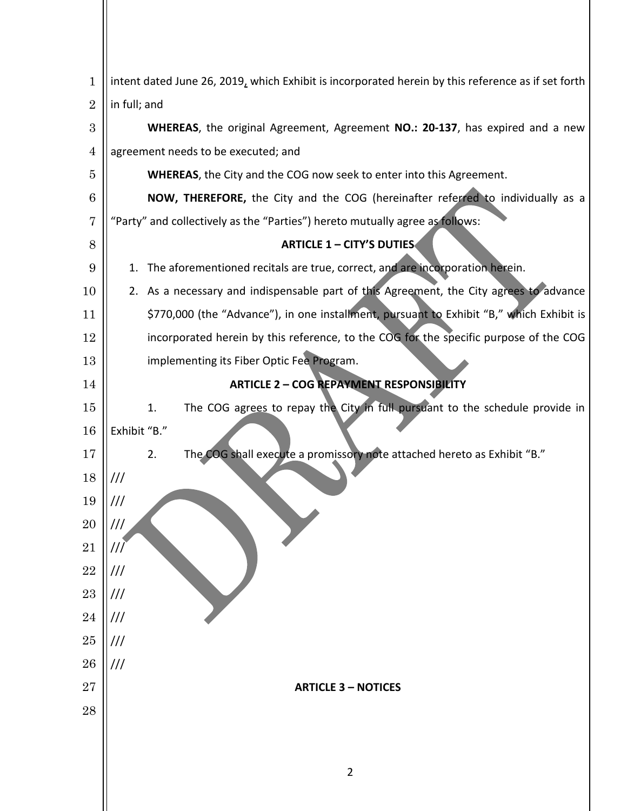| $\mathbf{1}$   | intent dated June 26, 2019, which Exhibit is incorporated herein by this reference as if set forth |  |  |  |
|----------------|----------------------------------------------------------------------------------------------------|--|--|--|
| $\overline{2}$ | in full; and                                                                                       |  |  |  |
| 3              | WHEREAS, the original Agreement, Agreement NO.: 20-137, has expired and a new                      |  |  |  |
| 4              | agreement needs to be executed; and                                                                |  |  |  |
| 5              | WHEREAS, the City and the COG now seek to enter into this Agreement.                               |  |  |  |
| 6              | NOW, THEREFORE, the City and the COG (hereinafter referred to individually as a                    |  |  |  |
| 7              | "Party" and collectively as the "Parties") hereto mutually agree as follows:                       |  |  |  |
| 8              | <b>ARTICLE 1 - CITY'S DUTIES</b>                                                                   |  |  |  |
| 9              | The aforementioned recitals are true, correct, and are incorporation herein.<br>1.                 |  |  |  |
| 10             | 2. As a necessary and indispensable part of this Agreement, the City agrees to advance             |  |  |  |
| 11             | \$770,000 (the "Advance"), in one installment, pursuant to Exhibit "B," which Exhibit is           |  |  |  |
| 12             | incorporated herein by this reference, to the COG for the specific purpose of the COG              |  |  |  |
| 13             | implementing its Fiber Optic Fee Program.                                                          |  |  |  |
| 14             | <b>ARTICLE 2 - COG REPAYMENT RESPONSIBILITY</b>                                                    |  |  |  |
| 15             | The COG agrees to repay the City in full pursuant to the schedule provide in<br>1.                 |  |  |  |
| 16             | Exhibit "B."                                                                                       |  |  |  |
| 17             | The COG shall execute a promissory note attached hereto as Exhibit "B."<br>2.                      |  |  |  |
| 18             | $^{\prime\prime\prime}$                                                                            |  |  |  |
| 19             | $^{\prime\prime\prime}$                                                                            |  |  |  |
| 20<br>21       | ///                                                                                                |  |  |  |
| 22             | ///<br>$\frac{1}{1}$                                                                               |  |  |  |
| 23             | $\frac{1}{1}$                                                                                      |  |  |  |
| 24             | $^{\prime\prime\prime}$                                                                            |  |  |  |
| 25             | $^{\prime\prime\prime}$                                                                            |  |  |  |
| 26             | $\frac{1}{1}$                                                                                      |  |  |  |
| 27             | <b>ARTICLE 3 - NOTICES</b>                                                                         |  |  |  |
| 28             |                                                                                                    |  |  |  |
|                |                                                                                                    |  |  |  |
|                |                                                                                                    |  |  |  |
|                |                                                                                                    |  |  |  |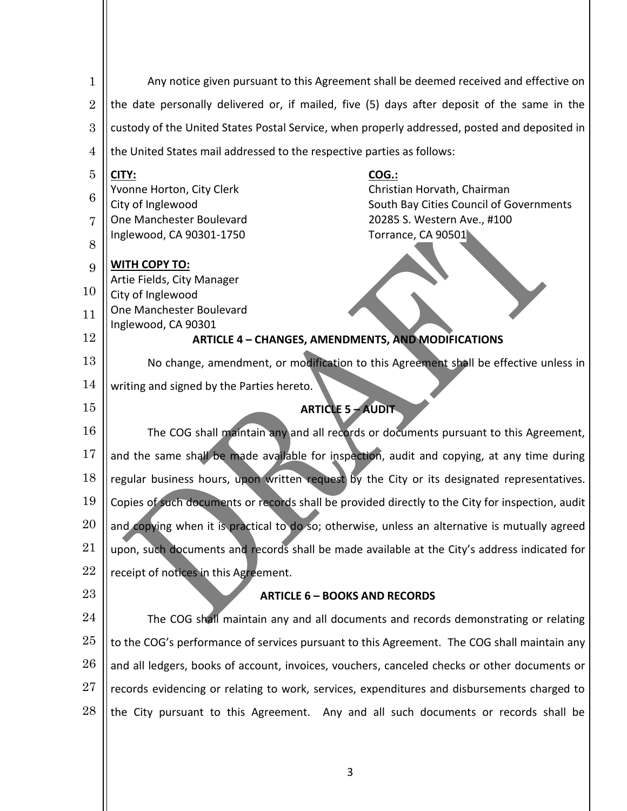| 1              | Any notice given pursuant to this Agreement shall be deemed received and effective on                                    |  |  |
|----------------|--------------------------------------------------------------------------------------------------------------------------|--|--|
| $\overline{2}$ | the date personally delivered or, if mailed, five (5) days after deposit of the same in the                              |  |  |
| 3              | custody of the United States Postal Service, when properly addressed, posted and deposited in                            |  |  |
| 4              | the United States mail addressed to the respective parties as follows:                                                   |  |  |
| 5              | CITY:<br><u>COG.:</u>                                                                                                    |  |  |
| 6              | Yvonne Horton, City Clerk<br>Christian Horvath, Chairman<br>City of Inglewood<br>South Bay Cities Council of Governments |  |  |
| 7              | One Manchester Boulevard<br>20285 S. Western Ave., #100                                                                  |  |  |
| 8              | Inglewood, CA 90301-1750<br>Torrance, CA 90501                                                                           |  |  |
|                | <b>WITH COPY TO:</b>                                                                                                     |  |  |
| 9              | Artie Fields, City Manager                                                                                               |  |  |
| 10             | City of Inglewood                                                                                                        |  |  |
| 11             | One Manchester Boulevard                                                                                                 |  |  |
| 12             | Inglewood, CA 90301<br><b>ARTICLE 4 - CHANGES, AMENDMENTS, AND MODIFICATIONS</b>                                         |  |  |
| 13             | No change, amendment, or modification to this Agreement shall be effective unless in                                     |  |  |
| 14             | writing and signed by the Parties hereto.                                                                                |  |  |
| $15\,$         | <b>ARTICLE 5 - AUDIT</b>                                                                                                 |  |  |
| 16             | The COG shall maintain any and all records or documents pursuant to this Agreement,                                      |  |  |
| 17             | and the same shall be made available for inspection, audit and copying, at any time during                               |  |  |
| 18             | regular business hours, upon written request by the City or its designated representatives.                              |  |  |
| 19             | Copies of such documents or records shall be provided directly to the City for inspection, audit                         |  |  |
| 20             | and copying when it is practical to do so; otherwise, unless an alternative is mutually agreed                           |  |  |
| 21             | upon, such documents and records shall be made available at the City's address indicated for                             |  |  |
| 22             | receipt of notices in this Agreement.                                                                                    |  |  |
| 23             | <b>ARTICLE 6 - BOOKS AND RECORDS</b>                                                                                     |  |  |
| 24             | The COG shall maintain any and all documents and records demonstrating or relating                                       |  |  |
| 25             | to the COG's performance of services pursuant to this Agreement. The COG shall maintain any                              |  |  |
| 26             | and all ledgers, books of account, invoices, vouchers, canceled checks or other documents or                             |  |  |
| 27             | records evidencing or relating to work, services, expenditures and disbursements charged to                              |  |  |
| 28             | the City pursuant to this Agreement. Any and all such documents or records shall be                                      |  |  |
|                |                                                                                                                          |  |  |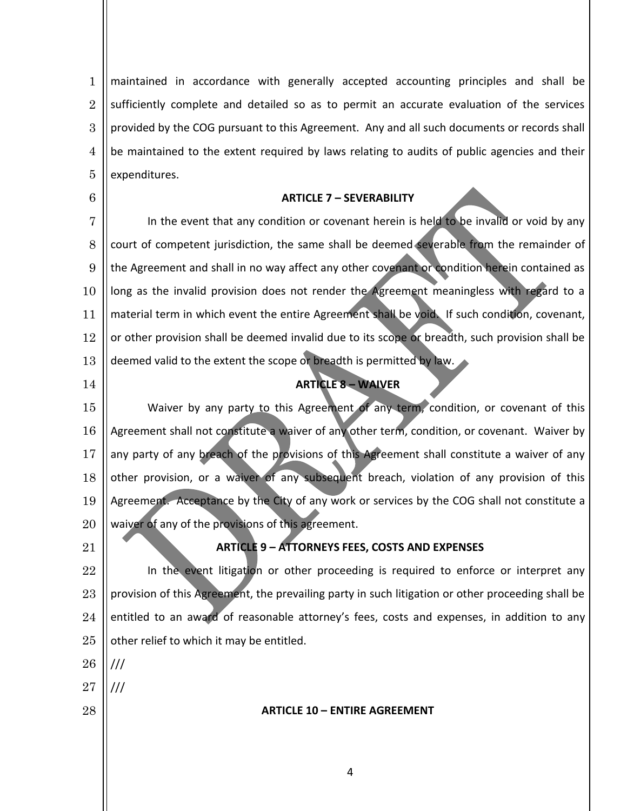1 2 3 4 5 maintained in accordance with generally accepted accounting principles and shall be sufficiently complete and detailed so as to permit an accurate evaluation of the services provided by the COG pursuant to this Agreement. Any and all such documents or records shall be maintained to the extent required by laws relating to audits of public agencies and their expenditures.

#### **ARTICLE 7 – SEVERABILITY**

7 8 9 10 11 12 13 In the event that any condition or covenant herein is held to be invalid or void by any court of competent jurisdiction, the same shall be deemed severable from the remainder of the Agreement and shall in no way affect any other covenant or condition herein contained as long as the invalid provision does not render the Agreement meaningless with regard to a material term in which event the entire Agreement shall be void. If such condition, covenant, or other provision shall be deemed invalid due to its scope or breadth, such provision shall be deemed valid to the extent the scope or breadth is permitted by law.

## **ARTICLE 8 – WAIVER**

15 16 17 18 19 20 Waiver by any party to this Agreement of any term, condition, or covenant of this Agreement shall not constitute a waiver of any other term, condition, or covenant. Waiver by any party of any breach of the provisions of this Agreement shall constitute a waiver of any other provision, or a waiver of any subsequent breach, violation of any provision of this Agreement. Acceptance by the City of any work or services by the COG shall not constitute a waiver of any of the provisions of this agreement.

21

14

6

## **ARTICLE 9 – ATTORNEYS FEES, COSTS AND EXPENSES**

22 23 24 25 In the event litigation or other proceeding is required to enforce or interpret any provision of this Agreement, the prevailing party in such litigation or other proceeding shall be entitled to an award of reasonable attorney's fees, costs and expenses, in addition to any other relief to which it may be entitled.

26 ///

///

- 27
- 28

**ARTICLE 10 – ENTIRE AGREEMENT**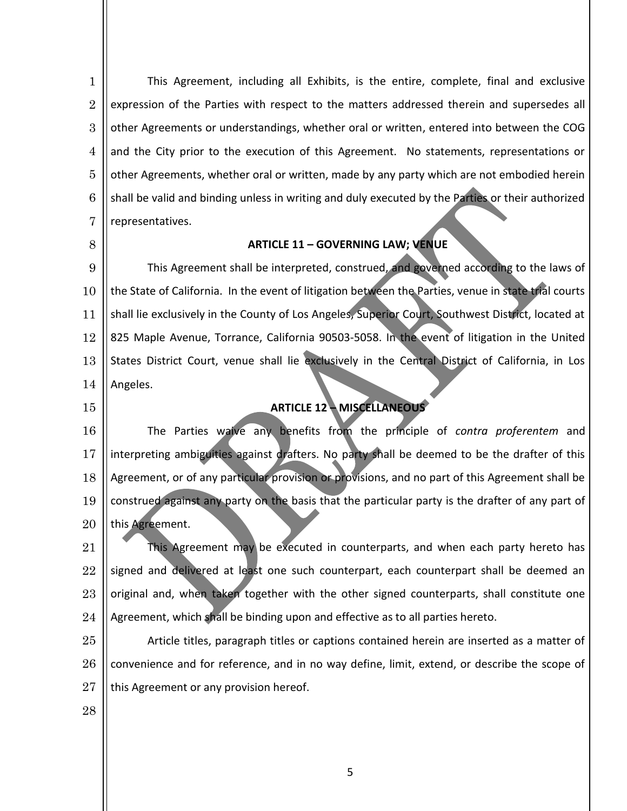1 2 3 4 5 6 7 This Agreement, including all Exhibits, is the entire, complete, final and exclusive expression of the Parties with respect to the matters addressed therein and supersedes all other Agreements or understandings, whether oral or written, entered into between the COG and the City prior to the execution of this Agreement. No statements, representations or other Agreements, whether oral or written, made by any party which are not embodied herein shall be valid and binding unless in writing and duly executed by the Parties or their authorized representatives.

8

## **ARTICLE 11 – GOVERNING LAW; VENUE**

9 10 11 12 13 14 This Agreement shall be interpreted, construed, and governed according to the laws of the State of California. In the event of litigation between the Parties, venue in state trial courts shall lie exclusively in the County of Los Angeles, Superior Court, Southwest District, located at 825 Maple Avenue, Torrance, California 90503-5058. In the event of litigation in the United States District Court, venue shall lie exclusively in the Central District of California, in Los Angeles.

15

# **ARTICLE 12 – MISCELLANEOUS**

16 17 18 19 20 The Parties waive any benefits from the principle of *contra proferentem* and interpreting ambiguities against drafters. No party shall be deemed to be the drafter of this Agreement, or of any particular provision or provisions, and no part of this Agreement shall be construed against any party on the basis that the particular party is the drafter of any part of this Agreement.

21 22 23 24 This Agreement may be executed in counterparts, and when each party hereto has signed and delivered at least one such counterpart, each counterpart shall be deemed an original and, when taken together with the other signed counterparts, shall constitute one Agreement, which shall be binding upon and effective as to all parties hereto.

25 26 27 Article titles, paragraph titles or captions contained herein are inserted as a matter of convenience and for reference, and in no way define, limit, extend, or describe the scope of this Agreement or any provision hereof.

28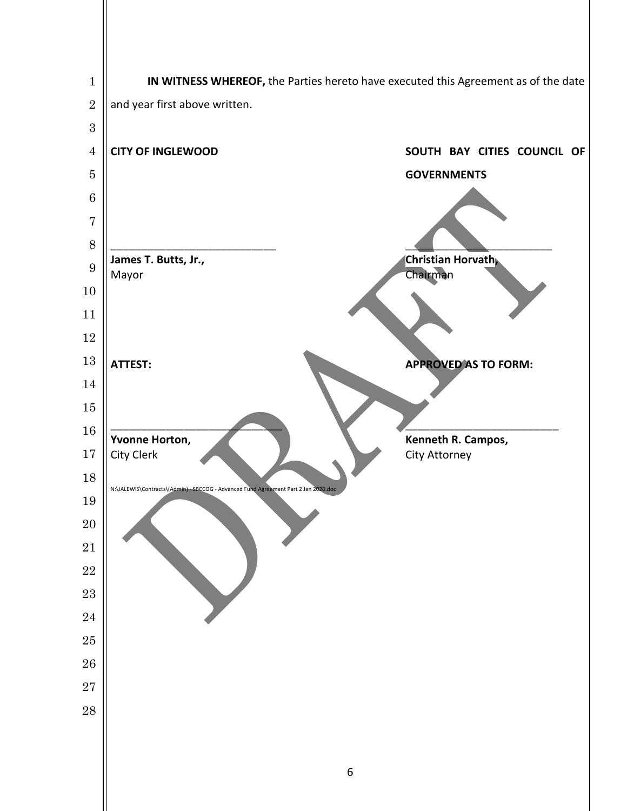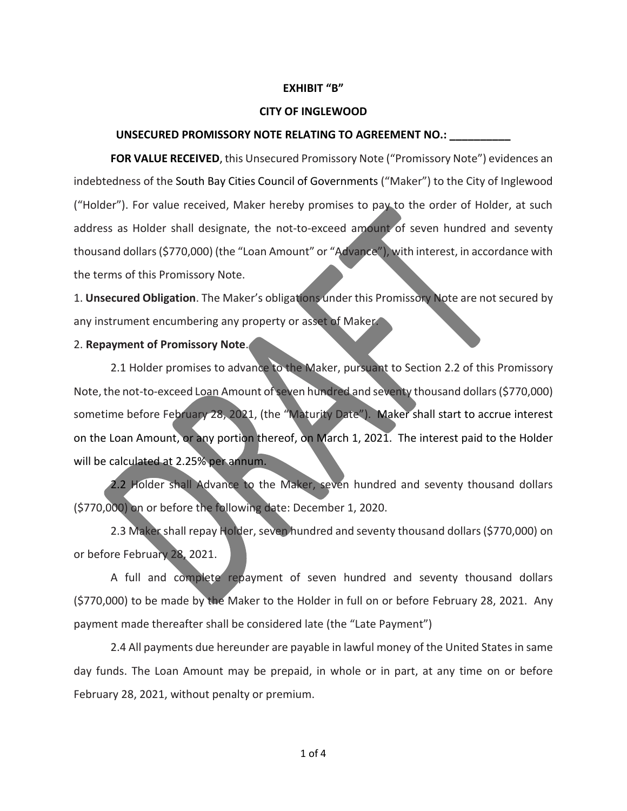#### **EXHIBIT "B"**

#### **CITY OF INGLEWOOD**

#### **UNSECURED PROMISSORY NOTE RELATING TO AGREEMENT NO.: \_\_\_\_\_\_\_\_\_\_**

**FOR VALUE RECEIVED**, this Unsecured Promissory Note ("Promissory Note") evidences an indebtedness of the South Bay Cities Council of Governments ("Maker") to the City of Inglewood ("Holder"). For value received, Maker hereby promises to pay to the order of Holder, at such address as Holder shall designate, the not-to-exceed amount of seven hundred and seventy thousand dollars (\$770,000) (the "Loan Amount" or "Advance"), with interest, in accordance with the terms of this Promissory Note.

1. **Unsecured Obligation**. The Maker's obligations under this Promissory Note are not secured by any instrument encumbering any property or asset of Maker.

## 2. **Repayment of Promissory Note**.

2.1 Holder promises to advance to the Maker, pursuant to Section 2.2 of this Promissory Note, the not-to-exceed Loan Amount of seven hundred and seventy thousand dollars (\$770,000) sometime before February 28, 2021, (the "Maturity Date"). Maker shall start to accrue interest on the Loan Amount, or any portion thereof, on March 1, 2021. The interest paid to the Holder will be calculated at 2.25% per annum.

2.2 Holder shall Advance to the Maker, seven hundred and seventy thousand dollars (\$770,000) on or before the following date: December 1, 2020.

2.3 Maker shall repay Holder, seven hundred and seventy thousand dollars (\$770,000) on or before February 28, 2021.

A full and complete repayment of seven hundred and seventy thousand dollars (\$770,000) to be made by the Maker to the Holder in full on or before February 28, 2021. Any payment made thereafter shall be considered late (the "Late Payment")

2.4 All payments due hereunder are payable in lawful money of the United States in same day funds. The Loan Amount may be prepaid, in whole or in part, at any time on or before February 28, 2021, without penalty or premium.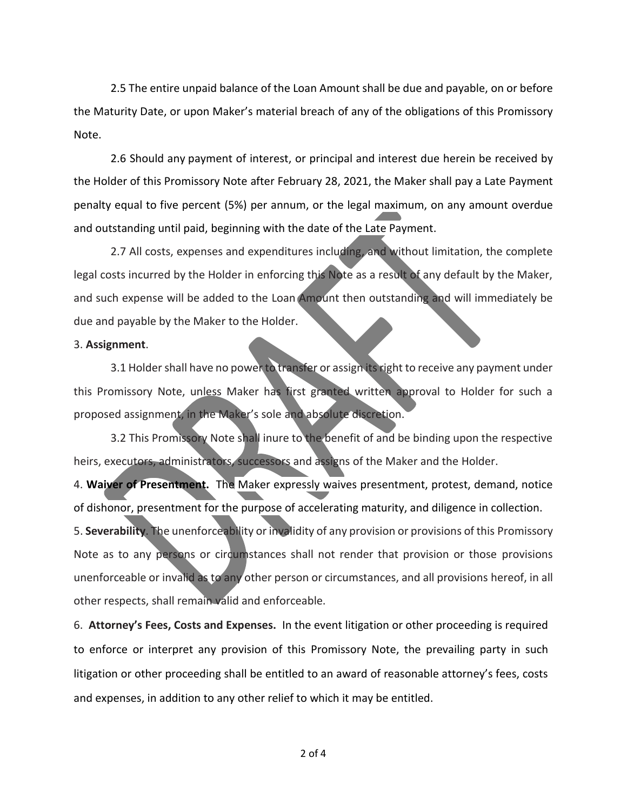2.5 The entire unpaid balance of the Loan Amount shall be due and payable, on or before the Maturity Date, or upon Maker's material breach of any of the obligations of this Promissory Note.

2.6 [Should any](https://www.lawinsider.com/clause/late-payment-penalty) payment of interest, or principal and interest due herein be received by the Holder of this Promissory Note after February 28, 2021, the Maker shall pay a Late Payment penalty equal to five percent (5%) per annum, or the legal maximum, on any amount overdue and outstanding until paid, beginning with the date of the Late Payment.

2.7 All costs, expenses and expenditures including, and without limitation, the complete legal costs incurred by the Holder in enforcing this Note as a result of any default by the Maker, and such expense will be added to the Loan Amount then outstanding and will immediately be due and payable by the Maker to the Holder.

#### 3. **Assignment**.

3.1 Holder shall have no power to transfer or assign its right to receive any payment under this Promissory Note, unless Maker has first granted written approval to Holder for such a proposed assignment, in the Maker's sole and absolute discretion.

3.2 This Promissory Note shall inure to the benefit of and be binding upon the respective heirs, executors, administrators, successors and assigns of the Maker and the Holder.

4. **Waiver of Presentment.** [The](https://www.lawinsider.com/clause/waiver-of-presentment) Maker expressly waives presentment, protest, demand, notice of dishonor, presentment for the purpose of accelerating maturity, and diligence in collection.

5. **Severability**. The unenforceability or invalidity of any provision or provisions of this Promissory Note as to any persons or circumstances shall not render that provision or those provisions unenforceable or invalid as to any other person or circumstances, and all provisions hereof, in all other respects, shall remain valid and enforceable.

6. **Attorney's Fees, Costs and Expenses.** In the event litigation or other proceeding is required to enforce or interpret any provision of this Promissory Note, the prevailing party in such litigation or other proceeding shall be entitled to an award of reasonable attorney's fees, costs and expenses, in addition to any other relief to which it may be entitled.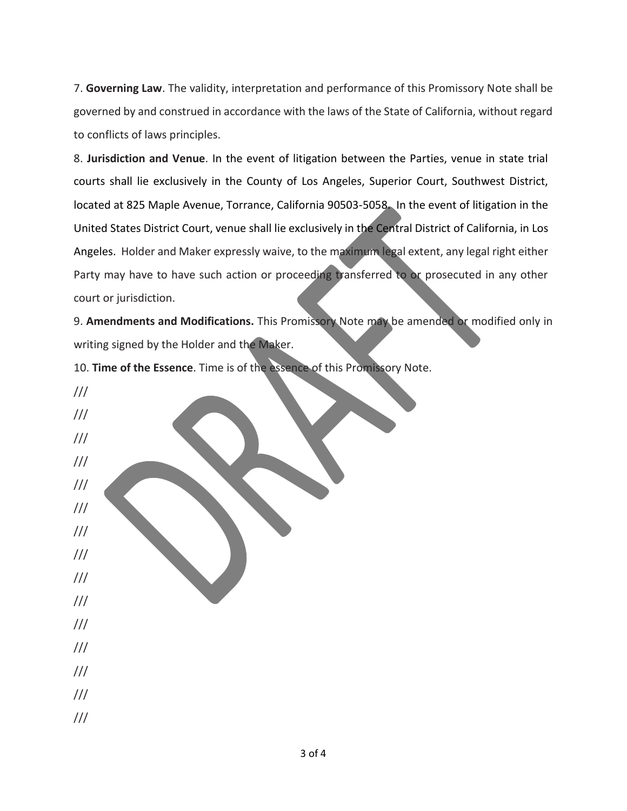7. **Governing Law**. The validity, interpretation and performance of this Promissory Note shall be governed by and construed in accordance with the laws of the State of California, without regard to conflicts of laws principles.

8. **Jurisdiction and Venue**. In the event of litigation between the Parties, venue in state trial courts shall lie exclusively in the County of Los Angeles, Superior Court, Southwest District, located at 825 Maple Avenue, Torrance, California 90503-5058. In the event of litigation in the United States District Court, venue shall lie exclusively in the Central District of California, in Los Angeles. Holder and Maker expressly waive, to the maximum legal extent, any legal right either Party may have to have such action or proceeding transferred to or prosecuted in any other court or jurisdiction.

9. **Amendments and Modifications.** This Promissory Note may be amended or modified only in writing signed by the Holder and the Maker.

10. **Time of the Essence**. Time is of the essence of this Promissory Note.

/// /// /// /// /// /// /// /// /// /// /// /// /// /// ///